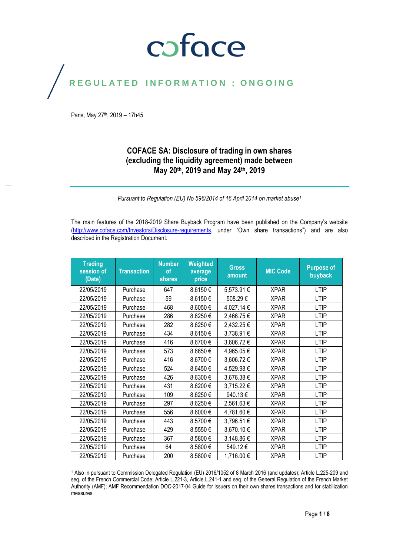### coface

### REGULATED INFORMATION : ONGOING

Paris, May 27<sup>th</sup>, 2019 - 17h45

#### **COFACE SA: Disclosure of trading in own shares (excluding the liquidity agreement) made between May 20th, 2019 and May 24th, 2019**

*Pursuant to Regulation (EU) No 596/2014 of 16 April 2014 on market abuse<sup>1</sup>*

The main features of the 2018-2019 Share Buyback Program have been published on the Company's website [\(http://www.coface.com/Investors/Disclosure-requirements](http://www.coface.com/Investors/Disclosure-requirements), under "Own share transactions") and are also described in the Registration Document.

| <b>Trading</b><br>session of<br>(Date) | <b>Transaction</b> | <b>Number</b><br><b>of</b><br><b>shares</b> | Weighted<br>average<br>price | <b>Gross</b><br>amount | <b>MIC Code</b> | <b>Purpose of</b><br>buyback |
|----------------------------------------|--------------------|---------------------------------------------|------------------------------|------------------------|-----------------|------------------------------|
| 22/05/2019                             | Purchase           | 647                                         | 8.6150€                      | 5,573.91 €             | <b>XPAR</b>     | <b>LTIP</b>                  |
| 22/05/2019                             | Purchase           | 59                                          | 8.6150€                      | 508.29€                | <b>XPAR</b>     | <b>LTIP</b>                  |
| 22/05/2019                             | Purchase           | 468                                         | 8.6050€                      | 4,027.14 €             | <b>XPAR</b>     | <b>LTIP</b>                  |
| 22/05/2019                             | Purchase           | 286                                         | 8.6250€                      | 2,466.75€              | <b>XPAR</b>     | <b>LTIP</b>                  |
| 22/05/2019                             | Purchase           | 282                                         | 8.6250€                      | 2,432.25€              | <b>XPAR</b>     | <b>LTIP</b>                  |
| 22/05/2019                             | Purchase           | 434                                         | 8.6150€                      | 3,738.91 €             | <b>XPAR</b>     | <b>LTIP</b>                  |
| 22/05/2019                             | Purchase           | 416                                         | 8.6700€                      | 3,606.72€              | <b>XPAR</b>     | <b>LTIP</b>                  |
| 22/05/2019                             | Purchase           | 573                                         | 8.6650€                      | 4,965.05€              | <b>XPAR</b>     | <b>LTIP</b>                  |
| 22/05/2019                             | Purchase           | 416                                         | 8.6700€                      | 3,606.72€              | <b>XPAR</b>     | <b>LTIP</b>                  |
| 22/05/2019                             | Purchase           | 524                                         | 8.6450€                      | 4,529.98€              | <b>XPAR</b>     | <b>LTIP</b>                  |
| 22/05/2019                             | Purchase           | 426                                         | 8.6300€                      | 3,676.38€              | <b>XPAR</b>     | <b>LTIP</b>                  |
| 22/05/2019                             | Purchase           | 431                                         | 8.6200€                      | 3,715.22 €             | <b>XPAR</b>     | <b>LTIP</b>                  |
| 22/05/2019                             | Purchase           | 109                                         | 8.6250€                      | 940.13€                | <b>XPAR</b>     | <b>LTIP</b>                  |
| 22/05/2019                             | Purchase           | 297                                         | 8.6250€                      | 2,561.63€              | <b>XPAR</b>     | <b>LTIP</b>                  |
| 22/05/2019                             | Purchase           | 556                                         | 8.6000€                      | 4,781.60€              | <b>XPAR</b>     | <b>LTIP</b>                  |
| 22/05/2019                             | Purchase           | 443                                         | 8.5700€                      | 3,796.51 €             | <b>XPAR</b>     | <b>LTIP</b>                  |
| 22/05/2019                             | Purchase           | 429                                         | 8.5550€                      | 3,670.10€              | <b>XPAR</b>     | <b>LTIP</b>                  |
| 22/05/2019                             | Purchase           | 367                                         | 8.5800€                      | 3,148.86€              | <b>XPAR</b>     | <b>LTIP</b>                  |
| 22/05/2019                             | Purchase           | 64                                          | 8.5800€                      | 549.12€                | <b>XPAR</b>     | <b>LTIP</b>                  |
| 22/05/2019                             | Purchase           | 200                                         | 8.5800€                      | 1,716.00€              | <b>XPAR</b>     | <b>LTIP</b>                  |

 $\overline{a}$ <sup>1</sup> Also in pursuant to Commission Delegated Regulation (EU) 2016/1052 of 8 March 2016 (and updates); Article L.225-209 and seq. of the French Commercial Code; Article L.221-3, Article L.241-1 and seq. of the General Regulation of the French Market Authority (AMF); AMF Recommendation DOC-2017-04 Guide for issuers on their own shares transactions and for stabilization measures.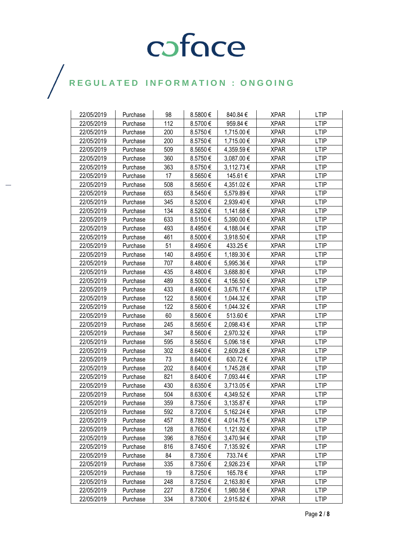| 22/05/2019 | Purchase | 98  | 8.5800€      | 840.84€    | <b>XPAR</b> | <b>LTIP</b> |
|------------|----------|-----|--------------|------------|-------------|-------------|
| 22/05/2019 | Purchase | 112 | 8.5700€      | 959.84€    | <b>XPAR</b> | <b>LTIP</b> |
| 22/05/2019 | Purchase | 200 | 8.5750€      | 1,715.00 € | <b>XPAR</b> | LTIP        |
| 22/05/2019 | Purchase | 200 | 8.5750€      | 1,715.00 € | <b>XPAR</b> | <b>LTIP</b> |
| 22/05/2019 | Purchase | 509 | 8.5650€      | 4,359.59€  | <b>XPAR</b> | <b>LTIP</b> |
| 22/05/2019 | Purchase | 360 | 8.5750€      | 3,087.00 € | <b>XPAR</b> | <b>LTIP</b> |
| 22/05/2019 | Purchase | 363 | 8.5750€      | 3,112.73 € | <b>XPAR</b> | <b>LTIP</b> |
| 22/05/2019 | Purchase | 17  | 8.5650€      | 145.61 €   | <b>XPAR</b> | <b>LTIP</b> |
| 22/05/2019 | Purchase | 508 | 8.5650€      | 4,351.02 € | <b>XPAR</b> | LTIP        |
| 22/05/2019 | Purchase | 653 | 8.5450€      | 5,579.89€  | <b>XPAR</b> | <b>LTIP</b> |
| 22/05/2019 | Purchase | 345 | 8.5200€      | 2,939.40 € | <b>XPAR</b> | <b>LTIP</b> |
| 22/05/2019 | Purchase | 134 | 8.5200€      | 1,141.68 € | <b>XPAR</b> | LTIP        |
| 22/05/2019 | Purchase | 633 | 8.5150€      | 5,390.00 € | <b>XPAR</b> | <b>LTIP</b> |
| 22/05/2019 | Purchase | 493 | 8.4950€      | 4,188.04 € | <b>XPAR</b> | <b>LTIP</b> |
| 22/05/2019 | Purchase | 461 | 8.5000 $\in$ | 3,918.50 € | <b>XPAR</b> | <b>LTIP</b> |
| 22/05/2019 | Purchase | 51  | 8.4950€      | 433.25€    | <b>XPAR</b> | <b>LTIP</b> |
| 22/05/2019 | Purchase | 140 | 8.4950€      | 1,189.30 € | <b>XPAR</b> | <b>LTIP</b> |
| 22/05/2019 | Purchase | 707 | 8.4800€      | 5,995.36 € | <b>XPAR</b> | <b>LTIP</b> |
| 22/05/2019 | Purchase | 435 | 8.4800€      | 3,688.80€  | <b>XPAR</b> | LTIP        |
| 22/05/2019 | Purchase | 489 | 8.5000€      | 4,156.50 € | <b>XPAR</b> | <b>LTIP</b> |
| 22/05/2019 | Purchase | 433 | 8.4900€      | 3,676.17 € | <b>XPAR</b> | LTIP        |
| 22/05/2019 | Purchase | 122 | 8.5600€      | 1,044.32€  | <b>XPAR</b> | <b>LTIP</b> |
| 22/05/2019 | Purchase | 122 | 8.5600€      | 1,044.32 € | <b>XPAR</b> | <b>LTIP</b> |
| 22/05/2019 | Purchase | 60  | 8.5600€      | 513.60€    | <b>XPAR</b> | <b>LTIP</b> |
| 22/05/2019 | Purchase | 245 | 8.5650€      | 2,098.43 € | <b>XPAR</b> | <b>LTIP</b> |
| 22/05/2019 | Purchase | 347 | 8.5600€      | 2,970.32 € | <b>XPAR</b> | LTIP        |
| 22/05/2019 | Purchase | 595 | 8.5650€      | 5,096.18 € | <b>XPAR</b> | <b>LTIP</b> |
| 22/05/2019 | Purchase | 302 | 8.6400€      | 2,609.28 € | <b>XPAR</b> | <b>LTIP</b> |
| 22/05/2019 | Purchase | 73  | 8.6400€      | 630.72€    | <b>XPAR</b> | <b>LTIP</b> |
| 22/05/2019 | Purchase | 202 | 8.6400€      | 1,745.28 € | <b>XPAR</b> | <b>LTIP</b> |
| 22/05/2019 | Purchase | 821 | 8.6400€      | 7,093.44 € | <b>XPAR</b> | LTIP        |
| 22/05/2019 | Purchase | 430 | 8.6350€      | 3,713.05 € | <b>XPAR</b> | <b>LTIP</b> |
| 22/05/2019 | Purchase | 504 | 8.6300€      | 4,349.52€  | <b>XPAR</b> | <b>LTIP</b> |
| 22/05/2019 | Purchase | 359 | 8.7350€      | 3,135.87 € | <b>XPAR</b> | <b>LTIP</b> |
| 22/05/2019 | Purchase | 592 | 8.7200€      | 5,162.24 € | <b>XPAR</b> | <b>LTIP</b> |
| 22/05/2019 | Purchase | 457 | 8.7850€      | 4,014.75 € | <b>XPAR</b> | <b>LTIP</b> |
| 22/05/2019 | Purchase | 128 | 8.7650€      | 1,121.92€  | <b>XPAR</b> | <b>LTIP</b> |
| 22/05/2019 | Purchase | 396 | 8.7650€      | 3,470.94 € | <b>XPAR</b> | <b>LTIP</b> |
| 22/05/2019 | Purchase | 816 | 8.7450€      | 7,135.92 € | <b>XPAR</b> | <b>LTIP</b> |
| 22/05/2019 | Purchase | 84  | 8.7350€      | 733.74 €   | <b>XPAR</b> | <b>LTIP</b> |
| 22/05/2019 | Purchase | 335 | 8.7350€      | 2,926.23 € | <b>XPAR</b> | <b>LTIP</b> |
| 22/05/2019 | Purchase | 19  | 8.7250€      | 165.78€    | <b>XPAR</b> | <b>LTIP</b> |
| 22/05/2019 | Purchase | 248 | 8.7250€      | 2,163.80 € | <b>XPAR</b> | <b>LTIP</b> |
| 22/05/2019 | Purchase | 227 | 8.7250€      | 1,980.58 € | <b>XPAR</b> | <b>LTIP</b> |
| 22/05/2019 | Purchase | 334 | $8.7300 \in$ | 2,915.82 € | XPAR        | LTIP        |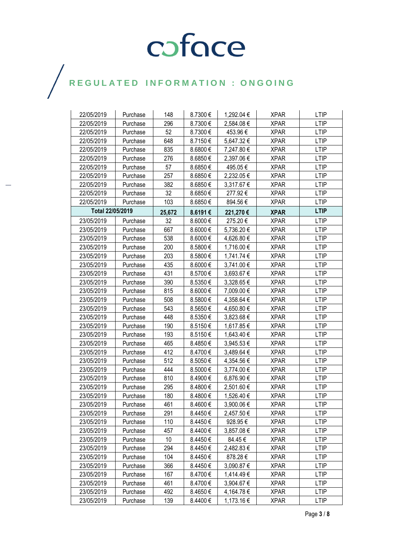| 22/05/2019       | Purchase | 148    | 8.7300€ | 1,292.04 € | <b>XPAR</b> | <b>LTIP</b> |
|------------------|----------|--------|---------|------------|-------------|-------------|
| 22/05/2019       | Purchase | 296    | 8.7300€ | 2,584.08€  | <b>XPAR</b> | <b>LTIP</b> |
| 22/05/2019       | Purchase | 52     | 8.7300€ | 453.96€    | <b>XPAR</b> | <b>LTIP</b> |
| 22/05/2019       | Purchase | 648    | 8.7150€ | 5,647.32€  | <b>XPAR</b> | <b>LTIP</b> |
| 22/05/2019       | Purchase | 835    | 8.6800€ | 7,247.80 € | <b>XPAR</b> | <b>LTIP</b> |
| 22/05/2019       | Purchase | 276    | 8.6850€ | 2,397.06 € | <b>XPAR</b> | <b>LTIP</b> |
| 22/05/2019       | Purchase | 57     | 8.6850€ | 495.05€    | <b>XPAR</b> | <b>LTIP</b> |
| 22/05/2019       | Purchase | 257    | 8.6850€ | 2,232.05€  | <b>XPAR</b> | <b>LTIP</b> |
| 22/05/2019       | Purchase | 382    | 8.6850€ | 3,317.67 € | <b>XPAR</b> | <b>LTIP</b> |
| 22/05/2019       | Purchase | 32     | 8.6850€ | 277.92€    | <b>XPAR</b> | <b>LTIP</b> |
| 22/05/2019       | Purchase | 103    | 8.6850€ | 894.56€    | <b>XPAR</b> | <b>LTIP</b> |
| Total 22/05/2019 |          | 25,672 | 8.6191€ | 221,270€   | <b>XPAR</b> | <b>LTIP</b> |
| 23/05/2019       | Purchase | 32     | 8.6000€ | 275.20€    | <b>XPAR</b> | <b>LTIP</b> |
| 23/05/2019       | Purchase | 667    | 8.6000€ | 5,736.20 € | <b>XPAR</b> | <b>LTIP</b> |
| 23/05/2019       | Purchase | 538    | 8.6000€ | 4,626.80 € | <b>XPAR</b> | <b>LTIP</b> |
| 23/05/2019       | Purchase | 200    | 8.5800€ | 1,716.00 € | <b>XPAR</b> | <b>LTIP</b> |
| 23/05/2019       | Purchase | 203    | 8.5800€ | 1,741.74 € | <b>XPAR</b> | LTIP        |
| 23/05/2019       | Purchase | 435    | 8.6000€ | 3,741.00 € | <b>XPAR</b> | <b>LTIP</b> |
| 23/05/2019       | Purchase | 431    | 8.5700€ | 3,693.67 € | <b>XPAR</b> | <b>LTIP</b> |
| 23/05/2019       | Purchase | 390    | 8.5350€ | 3,328.65 € | <b>XPAR</b> | <b>LTIP</b> |
| 23/05/2019       | Purchase | 815    | 8.6000€ | 7,009.00 € | <b>XPAR</b> | <b>LTIP</b> |
| 23/05/2019       | Purchase | 508    | 8.5800€ | 4,358.64 € | <b>XPAR</b> | <b>LTIP</b> |
| 23/05/2019       | Purchase | 543    | 8.5650€ | 4,650.80 € | <b>XPAR</b> | <b>LTIP</b> |
| 23/05/2019       | Purchase | 448    | 8.5350€ | 3,823.68 € | <b>XPAR</b> | <b>LTIP</b> |
| 23/05/2019       | Purchase | 190    | 8.5150€ | 1,617.85 € | <b>XPAR</b> | <b>LTIP</b> |
| 23/05/2019       | Purchase | 193    | 8.5150€ | 1,643.40 € | <b>XPAR</b> | <b>LTIP</b> |
| 23/05/2019       | Purchase | 465    | 8.4850€ | 3,945.53€  | <b>XPAR</b> | <b>LTIP</b> |
| 23/05/2019       | Purchase | 412    | 8.4700€ | 3,489.64 € | <b>XPAR</b> | <b>LTIP</b> |
| 23/05/2019       | Purchase | 512    | 8.5050€ | 4,354.56 € | <b>XPAR</b> | <b>LTIP</b> |
| 23/05/2019       | Purchase | 444    | 8.5000€ | 3,774.00 € | <b>XPAR</b> | <b>LTIP</b> |
| 23/05/2019       | Purchase | 810    | 8.4900€ | 6,876.90€  | <b>XPAR</b> | <b>LTIP</b> |
| 23/05/2019       | Purchase | 295    | 8.4800€ | 2,501.60 € | <b>XPAR</b> | <b>LTIP</b> |
| 23/05/2019       | Purchase | 180    | 8.4800€ | 1,526.40 € | <b>XPAR</b> | <b>LTIP</b> |
| 23/05/2019       | Purchase | 461    | 8.4600€ | 3,900.06€  | <b>XPAR</b> | <b>LTIP</b> |
| 23/05/2019       | Purchase | 291    | 8.4450€ | 2,457.50 € | <b>XPAR</b> | <b>LTIP</b> |
| 23/05/2019       | Purchase | 110    | 8.4450€ | 928.95€    | <b>XPAR</b> | LTIP        |
| 23/05/2019       | Purchase | 457    | 8.4400€ | 3,857.08 € | <b>XPAR</b> | <b>LTIP</b> |
| 23/05/2019       | Purchase | 10     | 8.4450€ | 84.45€     | <b>XPAR</b> | <b>LTIP</b> |
| 23/05/2019       | Purchase | 294    | 8.4450€ | 2,482.83 € | <b>XPAR</b> | LTIP        |
| 23/05/2019       | Purchase | 104    | 8.4450€ | 878.28€    | <b>XPAR</b> | <b>LTIP</b> |
| 23/05/2019       | Purchase | 366    | 8.4450€ | 3,090.87 € | <b>XPAR</b> | <b>LTIP</b> |
| 23/05/2019       | Purchase | 167    | 8.4700€ | 1,414.49€  | <b>XPAR</b> | <b>LTIP</b> |
| 23/05/2019       | Purchase | 461    | 8.4700€ | 3,904.67 € | <b>XPAR</b> | <b>LTIP</b> |
| 23/05/2019       | Purchase | 492    | 8.4650€ | 4,164.78 € | <b>XPAR</b> | LTIP        |
| 23/05/2019       | Purchase | 139    | 8.4400€ | 1,173.16 € | <b>XPAR</b> | <b>LTIP</b> |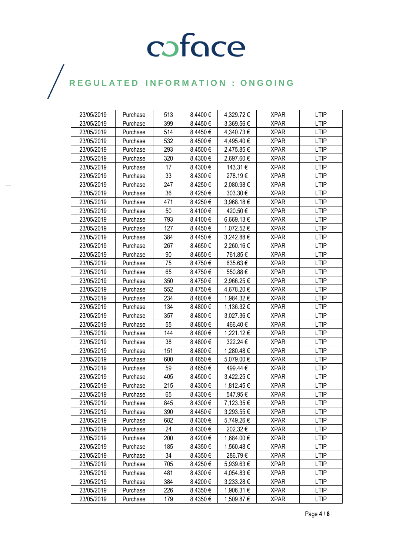| 23/05/2019 | Purchase | 513 | 8.4400€ | 4,329.72 € | <b>XPAR</b> | <b>LTIP</b> |
|------------|----------|-----|---------|------------|-------------|-------------|
| 23/05/2019 | Purchase | 399 | 8.4450€ | 3,369.56€  | <b>XPAR</b> | <b>LTIP</b> |
| 23/05/2019 | Purchase | 514 | 8.4450€ | 4,340.73 € | <b>XPAR</b> | <b>LTIP</b> |
| 23/05/2019 | Purchase | 532 | 8.4500€ | 4,495.40 € | <b>XPAR</b> | <b>LTIP</b> |
| 23/05/2019 | Purchase | 293 | 8.4500€ | 2,475.85€  | <b>XPAR</b> | <b>LTIP</b> |
| 23/05/2019 | Purchase | 320 | 8.4300€ | 2,697.60 € | <b>XPAR</b> | <b>LTIP</b> |
| 23/05/2019 | Purchase | 17  | 8.4300€ | 143.31€    | <b>XPAR</b> | <b>LTIP</b> |
| 23/05/2019 | Purchase | 33  | 8.4300€ | 278.19€    | <b>XPAR</b> | LTIP        |
| 23/05/2019 | Purchase | 247 | 8.4250€ | 2,080.98€  | <b>XPAR</b> | <b>LTIP</b> |
| 23/05/2019 | Purchase | 36  | 8.4250€ | 303.30€    | <b>XPAR</b> | <b>LTIP</b> |
| 23/05/2019 | Purchase | 471 | 8.4250€ | 3,968.18€  | <b>XPAR</b> | <b>LTIP</b> |
| 23/05/2019 | Purchase | 50  | 8.4100€ | 420.50€    | <b>XPAR</b> | <b>LTIP</b> |
| 23/05/2019 | Purchase | 793 | 8.4100€ | 6,669.13€  | <b>XPAR</b> | <b>LTIP</b> |
| 23/05/2019 | Purchase | 127 | 8.4450€ | 1,072.52 € | <b>XPAR</b> | LTIP        |
| 23/05/2019 | Purchase | 384 | 8.4450€ | 3,242.88 € | <b>XPAR</b> | <b>LTIP</b> |
| 23/05/2019 | Purchase | 267 | 8.4650€ | 2,260.16€  | <b>XPAR</b> | <b>LTIP</b> |
| 23/05/2019 | Purchase | 90  | 8.4650€ | 761.85€    | <b>XPAR</b> | LTIP        |
| 23/05/2019 | Purchase | 75  | 8.4750€ | 635.63€    | <b>XPAR</b> | <b>LTIP</b> |
| 23/05/2019 | Purchase | 65  | 8.4750€ | 550.88€    | <b>XPAR</b> | <b>LTIP</b> |
| 23/05/2019 | Purchase | 350 | 8.4750€ | 2,966.25 € | <b>XPAR</b> | <b>LTIP</b> |
| 23/05/2019 | Purchase | 552 | 8.4750€ | 4,678.20 € | <b>XPAR</b> | <b>LTIP</b> |
| 23/05/2019 | Purchase | 234 | 8.4800€ | 1,984.32 € | <b>XPAR</b> | <b>LTIP</b> |
| 23/05/2019 | Purchase | 134 | 8.4800€ | 1,136.32 € | <b>XPAR</b> | <b>LTIP</b> |
| 23/05/2019 | Purchase | 357 | 8.4800€ | 3,027.36 € | <b>XPAR</b> | <b>LTIP</b> |
| 23/05/2019 | Purchase | 55  | 8.4800€ | 466.40€    | <b>XPAR</b> | <b>LTIP</b> |
| 23/05/2019 | Purchase | 144 | 8.4800€ | 1,221.12 € | <b>XPAR</b> | LTIP        |
| 23/05/2019 | Purchase | 38  | 8.4800€ | 322.24€    | <b>XPAR</b> | <b>LTIP</b> |
| 23/05/2019 | Purchase | 151 | 8.4800€ | 1,280.48 € | XPAR        | <b>LTIP</b> |
| 23/05/2019 | Purchase | 600 | 8.4650€ | 5,079.00 € | <b>XPAR</b> | <b>LTIP</b> |
| 23/05/2019 | Purchase | 59  | 8.4650€ | 499.44 €   | <b>XPAR</b> | <b>LTIP</b> |
| 23/05/2019 | Purchase | 405 | 8.4500€ | 3,422.25 € | <b>XPAR</b> | <b>LTIP</b> |
| 23/05/2019 | Purchase | 215 | 8.4300€ | 1,812.45 € | <b>XPAR</b> | <b>LTIP</b> |
| 23/05/2019 | Purchase | 65  | 8.4300€ | 547.95€    | <b>XPAR</b> | <b>LTIP</b> |
| 23/05/2019 | Purchase | 845 | 8.4300€ | 7,123.35€  | <b>XPAR</b> | <b>LTIP</b> |
| 23/05/2019 | Purchase | 390 | 8.4450€ | 3,293.55 € | <b>XPAR</b> | <b>LTIP</b> |
| 23/05/2019 | Purchase | 682 | 8.4300€ | 5,749.26 € | <b>XPAR</b> | <b>LTIP</b> |
| 23/05/2019 | Purchase | 24  | 8.4300€ | 202.32€    | <b>XPAR</b> | <b>LTIP</b> |
| 23/05/2019 | Purchase | 200 | 8.4200€ | 1,684.00 € | <b>XPAR</b> | LTIP        |
| 23/05/2019 | Purchase | 185 | 8.4350€ | 1,560.48€  | <b>XPAR</b> | <b>LTIP</b> |
| 23/05/2019 | Purchase | 34  | 8.4350€ | 286.79€    | <b>XPAR</b> | <b>LTIP</b> |
| 23/05/2019 | Purchase | 705 | 8.4250€ | 5,939.63 € | <b>XPAR</b> | LTIP        |
| 23/05/2019 | Purchase | 481 | 8.4300€ | 4,054.83 € | <b>XPAR</b> | <b>LTIP</b> |
| 23/05/2019 | Purchase | 384 | 8.4200€ | 3,233.28 € | <b>XPAR</b> | LTIP        |
| 23/05/2019 | Purchase | 226 | 8.4350€ | 1,906.31 € | <b>XPAR</b> | <b>LTIP</b> |
| 23/05/2019 | Purchase | 179 | 8.4350€ | 1,509.87 € | <b>XPAR</b> | <b>LTIP</b> |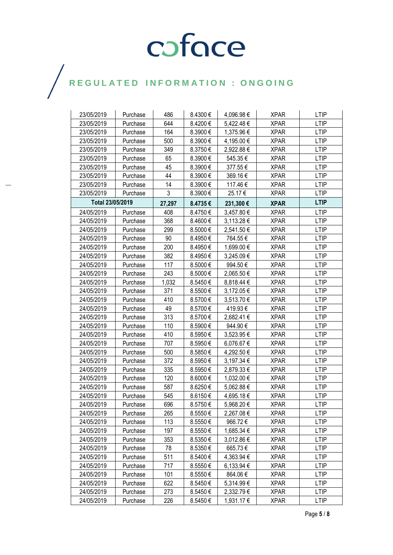| 23/05/2019       | Purchase | 486    | 8.4300€ | 4,096.98 € | <b>XPAR</b> | <b>LTIP</b> |
|------------------|----------|--------|---------|------------|-------------|-------------|
| 23/05/2019       | Purchase | 644    | 8.4200€ | 5,422.48€  | <b>XPAR</b> | <b>LTIP</b> |
| 23/05/2019       | Purchase | 164    | 8.3900€ | 1,375.96 € | <b>XPAR</b> | <b>LTIP</b> |
| 23/05/2019       | Purchase | 500    | 8.3900€ | 4,195.00 € | <b>XPAR</b> | <b>LTIP</b> |
| 23/05/2019       | Purchase | 349    | 8.3750€ | 2,922.88 € | <b>XPAR</b> | <b>LTIP</b> |
| 23/05/2019       | Purchase | 65     | 8.3900€ | 545.35€    | <b>XPAR</b> | <b>LTIP</b> |
| 23/05/2019       | Purchase | 45     | 8.3900€ | 377.55€    | <b>XPAR</b> | <b>LTIP</b> |
| 23/05/2019       | Purchase | 44     | 8.3900€ | 369.16€    | <b>XPAR</b> | <b>LTIP</b> |
| 23/05/2019       | Purchase | 14     | 8.3900€ | 117.46€    | <b>XPAR</b> | <b>LTIP</b> |
| 23/05/2019       | Purchase | 3      | 8.3900€ | 25.17€     | <b>XPAR</b> | <b>LTIP</b> |
| Total 23/05/2019 |          | 27,297 | 8.4735€ | 231,300€   | <b>XPAR</b> | <b>LTIP</b> |
| 24/05/2019       | Purchase | 408    | 8.4750€ | 3,457.80 € | <b>XPAR</b> | <b>LTIP</b> |
| 24/05/2019       | Purchase | 368    | 8.4600€ | 3,113.28 € | <b>XPAR</b> | <b>LTIP</b> |
| 24/05/2019       | Purchase | 299    | 8.5000€ | 2,541.50 € | <b>XPAR</b> | <b>LTIP</b> |
| 24/05/2019       | Purchase | 90     | 8.4950€ | 764.55€    | <b>XPAR</b> | <b>LTIP</b> |
| 24/05/2019       | Purchase | 200    | 8.4950€ | 1,699.00 € | <b>XPAR</b> | <b>LTIP</b> |
| 24/05/2019       | Purchase | 382    | 8.4950€ | 3,245.09 € | XPAR        | LTIP        |
| 24/05/2019       | Purchase | 117    | 8.5000€ | 994.50€    | <b>XPAR</b> | <b>LTIP</b> |
| 24/05/2019       | Purchase | 243    | 8.5000€ | 2,065.50 € | <b>XPAR</b> | <b>LTIP</b> |
| 24/05/2019       | Purchase | 1,032  | 8.5450€ | 8,818.44 € | <b>XPAR</b> | <b>LTIP</b> |
| 24/05/2019       | Purchase | 371    | 8.5500€ | 3,172.05 € | <b>XPAR</b> | <b>LTIP</b> |
| 24/05/2019       | Purchase | 410    | 8.5700€ | 3,513.70 € | XPAR        | <b>LTIP</b> |
| 24/05/2019       | Purchase | 49     | 8.5700€ | 419.93€    | <b>XPAR</b> | <b>LTIP</b> |
| 24/05/2019       | Purchase | 313    | 8.5700€ | 2,682.41€  | <b>XPAR</b> | <b>LTIP</b> |
| 24/05/2019       | Purchase | 110    | 8.5900€ | 944.90€    | <b>XPAR</b> | <b>LTIP</b> |
| 24/05/2019       | Purchase | 410    | 8.5950€ | 3,523.95 € | <b>XPAR</b> | <b>LTIP</b> |
| 24/05/2019       | Purchase | 707    | 8.5950€ | 6,076.67€  | <b>XPAR</b> | <b>LTIP</b> |
| 24/05/2019       | Purchase | 500    | 8.5850€ | 4,292.50 € | <b>XPAR</b> | <b>LTIP</b> |
| 24/05/2019       | Purchase | 372    | 8.5950€ | 3,197.34 € | <b>XPAR</b> | <b>LTIP</b> |
| 24/05/2019       | Purchase | 335    | 8.5950€ | 2,879.33 € | <b>XPAR</b> | <b>LTIP</b> |
| 24/05/2019       | Purchase | 120    | 8.6000€ | 1,032.00 € | XPAR        | <b>LTIP</b> |
| 24/05/2019       | Purchase | 587    | 8.6250€ | 5,062.88€  | <b>XPAR</b> | <b>LTIP</b> |
| 24/05/2019       | Purchase | 545    | 8.6150€ | 4,695.18€  | <b>XPAR</b> | <b>LTIP</b> |
| 24/05/2019       | Purchase | 696    | 8.5750€ | 5,968.20€  | <b>XPAR</b> | <b>LTIP</b> |
| 24/05/2019       | Purchase | 265    | 8.5550€ | 2,267.08 € | <b>XPAR</b> | LTIP        |
| 24/05/2019       | Purchase | 113    | 8.5550€ | 966.72€    | <b>XPAR</b> | <b>LTIP</b> |
| 24/05/2019       | Purchase | 197    | 8.5550€ | 1,685.34 € | <b>XPAR</b> | <b>LTIP</b> |
| 24/05/2019       | Purchase | 353    | 8.5350€ | 3,012.86 € | <b>XPAR</b> | <b>LTIP</b> |
| 24/05/2019       | Purchase | 78     | 8.5350€ | 665.73€    | <b>XPAR</b> | <b>LTIP</b> |
| 24/05/2019       | Purchase | 511    | 8.5400€ | 4,363.94 € | <b>XPAR</b> | <b>LTIP</b> |
| 24/05/2019       | Purchase | 717    | 8.5550€ | 6,133.94 € | <b>XPAR</b> | <b>LTIP</b> |
| 24/05/2019       | Purchase | 101    | 8.5550€ | 864.06€    | <b>XPAR</b> | <b>LTIP</b> |
| 24/05/2019       | Purchase | 622    | 8.5450€ | 5,314.99€  | <b>XPAR</b> | <b>LTIP</b> |
| 24/05/2019       | Purchase | 273    | 8.5450€ | 2,332.79€  | <b>XPAR</b> | <b>LTIP</b> |
| 24/05/2019       | Purchase | 226    | 8.5450€ | 1,931.17 € | <b>XPAR</b> | <b>LTIP</b> |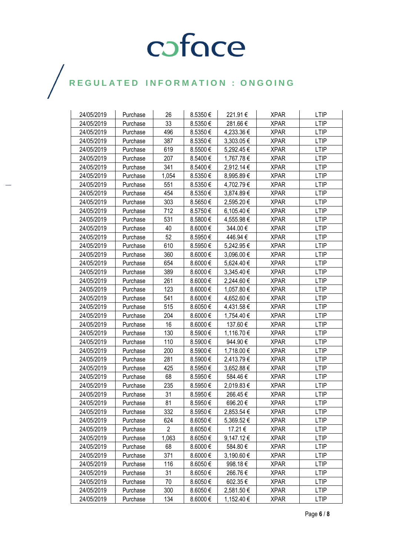| 24/05/2019 | Purchase | 26             | 8.5350€ | 221.91€        | <b>XPAR</b> | <b>LTIP</b> |
|------------|----------|----------------|---------|----------------|-------------|-------------|
| 24/05/2019 | Purchase | 33             | 8.5350€ | 281.66€        | <b>XPAR</b> | <b>LTIP</b> |
| 24/05/2019 | Purchase | 496            | 8.5350€ | 4,233.36 €     | <b>XPAR</b> | <b>LTIP</b> |
| 24/05/2019 | Purchase | 387            | 8.5350€ | 3,303.05 €     | <b>XPAR</b> | <b>LTIP</b> |
| 24/05/2019 | Purchase | 619            | 8.5500€ | 5,292.45€      | <b>XPAR</b> | <b>LTIP</b> |
| 24/05/2019 | Purchase | 207            | 8.5400€ | 1,767.78 €     | <b>XPAR</b> | <b>LTIP</b> |
| 24/05/2019 | Purchase | 341            | 8.5400€ | 2,912.14 €     | <b>XPAR</b> | <b>LTIP</b> |
| 24/05/2019 | Purchase | 1,054          | 8.5350€ | 8,995.89€      | <b>XPAR</b> | <b>LTIP</b> |
| 24/05/2019 | Purchase | 551            | 8.5350€ | 4,702.79€      | <b>XPAR</b> | <b>LTIP</b> |
| 24/05/2019 | Purchase | 454            | 8.5350€ | 3,874.89€      | <b>XPAR</b> | <b>LTIP</b> |
| 24/05/2019 | Purchase | 303            | 8.5650€ | 2,595.20 €     | <b>XPAR</b> | <b>LTIP</b> |
| 24/05/2019 | Purchase | 712            | 8.5750€ | 6,105.40 €     | <b>XPAR</b> | <b>LTIP</b> |
| 24/05/2019 | Purchase | 531            | 8.5800€ | 4,555.98 €     | <b>XPAR</b> | <b>LTIP</b> |
| 24/05/2019 | Purchase | 40             | 8.6000€ | 344.00 €       | XPAR        | LTIP        |
| 24/05/2019 | Purchase | 52             | 8.5950€ | 446.94€        | <b>XPAR</b> | <b>LTIP</b> |
| 24/05/2019 | Purchase | 610            | 8.5950€ | 5,242.95 €     | <b>XPAR</b> | <b>LTIP</b> |
| 24/05/2019 | Purchase | 360            | 8.6000€ | 3,096.00 €     | <b>XPAR</b> | <b>LTIP</b> |
| 24/05/2019 | Purchase | 654            | 8.6000€ | 5,624.40 €     | <b>XPAR</b> | <b>LTIP</b> |
| 24/05/2019 | Purchase | 389            | 8.6000€ | 3,345.40 €     | XPAR        | <b>LTIP</b> |
| 24/05/2019 | Purchase | 261            | 8.6000€ | 2,244.60 €     | <b>XPAR</b> | <b>LTIP</b> |
| 24/05/2019 | Purchase | 123            | 8.6000€ | 1,057.80 €     | <b>XPAR</b> | <b>LTIP</b> |
| 24/05/2019 | Purchase | 541            | 8.6000€ | 4,652.60 €     | <b>XPAR</b> | <b>LTIP</b> |
| 24/05/2019 | Purchase | 515            | 8.6050€ | 4,431.58€      | <b>XPAR</b> | <b>LTIP</b> |
| 24/05/2019 | Purchase | 204            | 8.6000€ | 1,754.40 €     | XPAR        | <b>LTIP</b> |
| 24/05/2019 | Purchase | 16             | 8.6000€ | 137.60€        | <b>XPAR</b> | <b>LTIP</b> |
| 24/05/2019 | Purchase | 130            | 8.5900€ | 1,116.70 €     | <b>XPAR</b> | <b>LTIP</b> |
| 24/05/2019 | Purchase | 110            | 8.5900€ | 944.90€        | <b>XPAR</b> | <b>LTIP</b> |
| 24/05/2019 | Purchase | 200            | 8.5900€ | 1,718.00 €     | XPAR        | <b>LTIP</b> |
| 24/05/2019 | Purchase | 281            | 8.5900€ | 2,413.79€      | <b>XPAR</b> | <b>LTIP</b> |
| 24/05/2019 | Purchase | 425            | 8.5950€ | 3,652.88 €     | <b>XPAR</b> | <b>LTIP</b> |
| 24/05/2019 | Purchase | 68             | 8.5950€ | 584.46€        | <b>XPAR</b> | <b>LTIP</b> |
| 24/05/2019 | Purchase | 235            | 8.5950€ | 2,019.83 €     | <b>XPAR</b> | LTIP        |
| 24/05/2019 | Purchase | 31             | 8.5950€ | 266.45€        | <b>XPAR</b> | <b>LTIP</b> |
| 24/05/2019 | Purchase | 81             | 8.5950€ | 696.20€        | <b>XPAR</b> | <b>LTIP</b> |
| 24/05/2019 | Purchase | 332            | 8.5950€ | 2,853.54 €     | <b>XPAR</b> | <b>LTIP</b> |
| 24/05/2019 | Purchase | 624            | 8.6050€ | 5,369.52 €     | <b>XPAR</b> | <b>LTIP</b> |
| 24/05/2019 | Purchase | $\overline{2}$ | 8.6050€ | 17.21 €        | <b>XPAR</b> | <b>LTIP</b> |
| 24/05/2019 | Purchase | 1,063          | 8.6050€ | $9,147.12 \in$ | <b>XPAR</b> | LTIP        |
| 24/05/2019 | Purchase | 68             | 8.6000€ | 584.80€        | <b>XPAR</b> | <b>LTIP</b> |
| 24/05/2019 | Purchase | 371            | 8.6000€ | 3,190.60 €     | <b>XPAR</b> | <b>LTIP</b> |
| 24/05/2019 | Purchase | 116            | 8.6050€ | 998.18€        | <b>XPAR</b> | <b>LTIP</b> |
| 24/05/2019 | Purchase | 31             | 8.6050€ | 266.76€        | <b>XPAR</b> | <b>LTIP</b> |
| 24/05/2019 | Purchase | 70             | 8.6050€ | 602.35€        | <b>XPAR</b> | <b>LTIP</b> |
| 24/05/2019 | Purchase | 300            | 8.6050€ | 2,581.50 €     | <b>XPAR</b> | <b>LTIP</b> |
| 24/05/2019 | Purchase | 134            | 8.6000€ | 1,152.40 €     | <b>XPAR</b> | <b>LTIP</b> |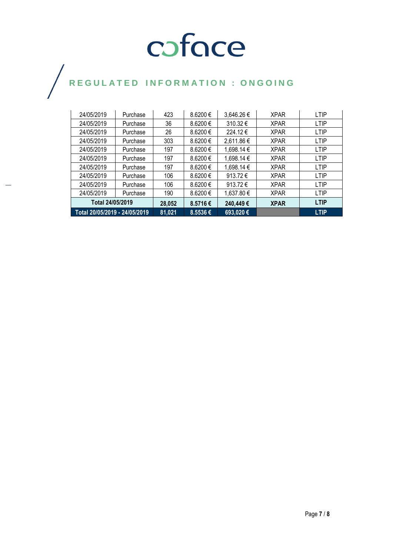### coface

## REGULATED INFORMATION : ONGOING

| Total 20/05/2019 - 24/05/2019 |          | 81,021 | 8.5536€      | 693,020€          |             | <b>LTIP</b> |
|-------------------------------|----------|--------|--------------|-------------------|-------------|-------------|
| Total 24/05/2019              |          | 28,052 | 8.5716€      | 240,449€          | <b>XPAR</b> | <b>LTIP</b> |
| 24/05/2019                    | Purchase | 190    | 8.6200 €     | 1,637.80 €        | <b>XPAR</b> | <b>LTIP</b> |
| 24/05/2019                    | Purchase | 106    | $8.6200 \in$ | 913.72 $\epsilon$ | <b>XPAR</b> | <b>LTIP</b> |
| 24/05/2019                    | Purchase | 106    | $8.6200 \in$ | 913.72 $\epsilon$ | <b>XPAR</b> | <b>LTIP</b> |
| 24/05/2019                    | Purchase | 197    | $8.6200 \in$ | 1,698.14 €        | <b>XPAR</b> | <b>LTIP</b> |
| 24/05/2019                    | Purchase | 197    | $8.6200 \in$ | 1,698.14 €        | <b>XPAR</b> | <b>LTIP</b> |
| 24/05/2019                    | Purchase | 197    | 8.6200 €     | 1,698.14 €        | <b>XPAR</b> | <b>LTIP</b> |
| 24/05/2019                    | Purchase | 303    | $8.6200 \in$ | 2,611.86€         | <b>XPAR</b> | <b>LTIP</b> |
| 24/05/2019                    | Purchase | 26     | 8.6200 €     | 224.12€           | <b>XPAR</b> | <b>LTIP</b> |
| 24/05/2019                    | Purchase | 36     | 8.6200€      | 310.32€           | <b>XPAR</b> | LTIP        |
| 24/05/2019                    | Purchase | 423    | $8.6200 \in$ | 3,646.26€         | <b>XPAR</b> | <b>LTIP</b> |
|                               |          |        |              |                   |             |             |